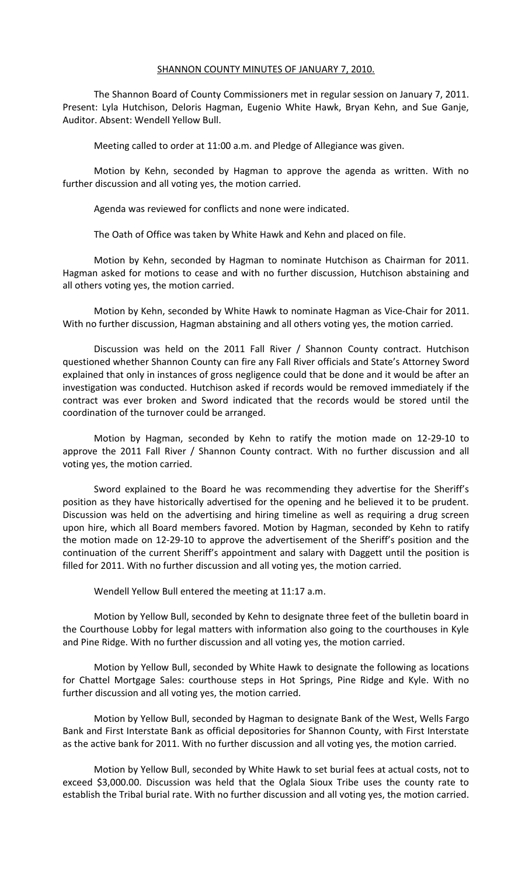#### SHANNON COUNTY MINUTES OF JANUARY 7, 2010.

The Shannon Board of County Commissioners met in regular session on January 7, 2011. Present: Lyla Hutchison, Deloris Hagman, Eugenio White Hawk, Bryan Kehn, and Sue Ganje, Auditor. Absent: Wendell Yellow Bull.

Meeting called to order at 11:00 a.m. and Pledge of Allegiance was given.

Motion by Kehn, seconded by Hagman to approve the agenda as written. With no further discussion and all voting yes, the motion carried.

Agenda was reviewed for conflicts and none were indicated.

The Oath of Office was taken by White Hawk and Kehn and placed on file.

Motion by Kehn, seconded by Hagman to nominate Hutchison as Chairman for 2011. Hagman asked for motions to cease and with no further discussion, Hutchison abstaining and all others voting yes, the motion carried.

Motion by Kehn, seconded by White Hawk to nominate Hagman as Vice-Chair for 2011. With no further discussion, Hagman abstaining and all others voting yes, the motion carried.

Discussion was held on the 2011 Fall River / Shannon County contract. Hutchison questioned whether Shannon County can fire any Fall River officials and State's Attorney Sword explained that only in instances of gross negligence could that be done and it would be after an investigation was conducted. Hutchison asked if records would be removed immediately if the contract was ever broken and Sword indicated that the records would be stored until the coordination of the turnover could be arranged.

Motion by Hagman, seconded by Kehn to ratify the motion made on 12-29-10 to approve the 2011 Fall River / Shannon County contract. With no further discussion and all voting yes, the motion carried.

Sword explained to the Board he was recommending they advertise for the Sheriff's position as they have historically advertised for the opening and he believed it to be prudent. Discussion was held on the advertising and hiring timeline as well as requiring a drug screen upon hire, which all Board members favored. Motion by Hagman, seconded by Kehn to ratify the motion made on 12-29-10 to approve the advertisement of the Sheriff's position and the continuation of the current Sheriff's appointment and salary with Daggett until the position is filled for 2011. With no further discussion and all voting yes, the motion carried.

Wendell Yellow Bull entered the meeting at 11:17 a.m.

Motion by Yellow Bull, seconded by Kehn to designate three feet of the bulletin board in the Courthouse Lobby for legal matters with information also going to the courthouses in Kyle and Pine Ridge. With no further discussion and all voting yes, the motion carried.

Motion by Yellow Bull, seconded by White Hawk to designate the following as locations for Chattel Mortgage Sales: courthouse steps in Hot Springs, Pine Ridge and Kyle. With no further discussion and all voting yes, the motion carried.

Motion by Yellow Bull, seconded by Hagman to designate Bank of the West, Wells Fargo Bank and First Interstate Bank as official depositories for Shannon County, with First Interstate as the active bank for 2011. With no further discussion and all voting yes, the motion carried.

Motion by Yellow Bull, seconded by White Hawk to set burial fees at actual costs, not to exceed \$3,000.00. Discussion was held that the Oglala Sioux Tribe uses the county rate to establish the Tribal burial rate. With no further discussion and all voting yes, the motion carried.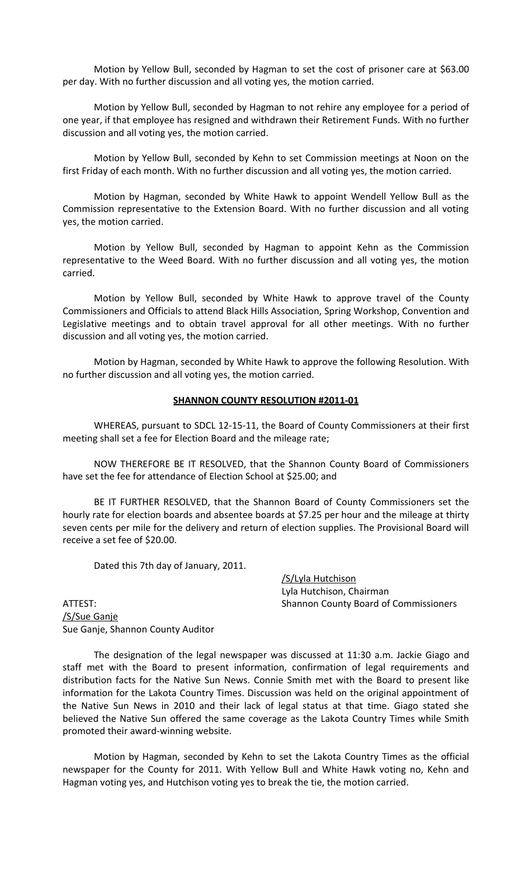Motion by Yellow Bull, seconded by Hagman to set the cost of prisoner care at \$63.00 per day. With no further discussion and all voting yes, the motion carried.

Motion by Yellow Bull, seconded by Hagman to not rehire any employee for a period of one year, if that employee has resigned and withdrawn their Retirement Funds. With no further discussion and all voting yes, the motion carried.

Motion by Yellow Bull, seconded by Kehn to set Commission meetings at Noon on the first Friday of each month. With no further discussion and all voting yes, the motion carried.

Motion by Hagman, seconded by White Hawk to appoint Wendell Yellow Bull as the Commission representative to the Extension Board. With no further discussion and all voting yes, the motion carried.

Motion by Yellow Bull, seconded by Hagman to appoint Kehn as the Commission representative to the Weed Board. With no further discussion and all voting yes, the motion carried.

Motion by Yellow Bull, seconded by White Hawk to approve travel of the County Commissioners and Officials to attend Black Hills Association, Spring Workshop, Convention and Legislative meetings and to obtain travel approval for all other meetings. With no further discussion and all voting yes, the motion carried.

Motion by Hagman, seconded by White Hawk to approve the following Resolution. With no further discussion and all voting yes, the motion carried.

## **SHANNON COUNTY RESOLUTION #2011-01**

WHEREAS, pursuant to SDCL 12-15-11, the Board of County Commissioners at their first meeting shall set a fee for Election Board and the mileage rate;

NOW THEREFORE BE IT RESOLVED, that the Shannon County Board of Commissioners have set the fee for attendance of Election School at \$25.00; and

BE IT FURTHER RESOLVED, that the Shannon Board of County Commissioners set the hourly rate for election boards and absentee boards at \$7.25 per hour and the mileage at thirty seven cents per mile for the delivery and return of election supplies. The Provisional Board will receive a set fee of \$20.00.

Dated this 7th day of January, 2011.

/S/Lyla Hutchison Lyla Hutchison, Chairman ATTEST: Shannon County Board of Commissioners

/S/Sue Ganje Sue Ganje, Shannon County Auditor

The designation of the legal newspaper was discussed at 11:30 a.m. Jackie Giago and staff met with the Board to present information, confirmation of legal requirements and distribution facts for the Native Sun News. Connie Smith met with the Board to present like information for the Lakota Country Times. Discussion was held on the original appointment of the Native Sun News in 2010 and their lack of legal status at that time. Giago stated she believed the Native Sun offered the same coverage as the Lakota Country Times while Smith promoted their award-winning website.

Motion by Hagman, seconded by Kehn to set the Lakota Country Times as the official newspaper for the County for 2011. With Yellow Bull and White Hawk voting no, Kehn and Hagman voting yes, and Hutchison voting yes to break the tie, the motion carried.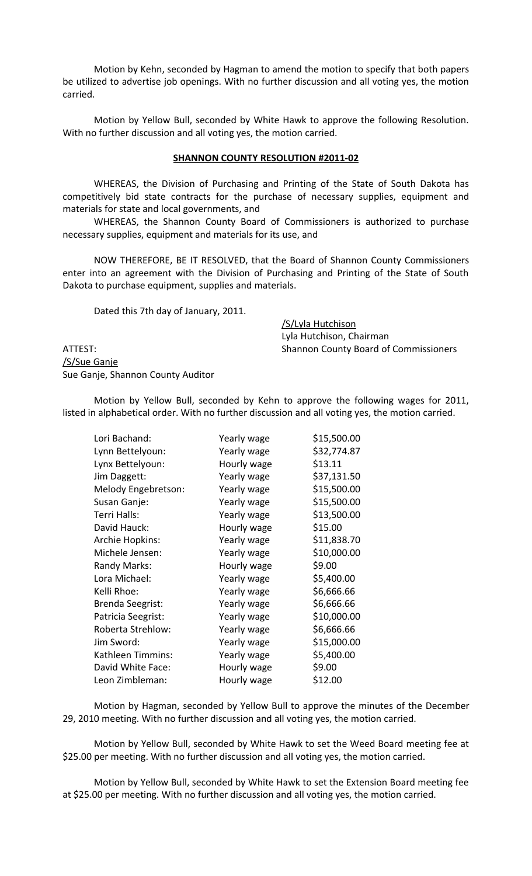Motion by Kehn, seconded by Hagman to amend the motion to specify that both papers be utilized to advertise job openings. With no further discussion and all voting yes, the motion carried.

Motion by Yellow Bull, seconded by White Hawk to approve the following Resolution. With no further discussion and all voting yes, the motion carried.

#### **SHANNON COUNTY RESOLUTION #2011-02**

WHEREAS, the Division of Purchasing and Printing of the State of South Dakota has competitively bid state contracts for the purchase of necessary supplies, equipment and materials for state and local governments, and

WHEREAS, the Shannon County Board of Commissioners is authorized to purchase necessary supplies, equipment and materials for its use, and

NOW THEREFORE, BE IT RESOLVED, that the Board of Shannon County Commissioners enter into an agreement with the Division of Purchasing and Printing of the State of South Dakota to purchase equipment, supplies and materials.

Dated this 7th day of January, 2011.

/S/Lyla Hutchison Lyla Hutchison, Chairman ATTEST: Shannon County Board of Commissioners

/S/Sue Ganje Sue Ganje, Shannon County Auditor

Motion by Yellow Bull, seconded by Kehn to approve the following wages for 2011, listed in alphabetical order. With no further discussion and all voting yes, the motion carried.

| Lori Bachand:           | Yearly wage | \$15,500.00 |
|-------------------------|-------------|-------------|
| Lynn Bettelyoun:        | Yearly wage | \$32,774.87 |
| Lynx Bettelyoun:        | Hourly wage | \$13.11     |
| Jim Daggett:            | Yearly wage | \$37,131.50 |
| Melody Engebretson:     | Yearly wage | \$15,500.00 |
| Susan Ganje:            | Yearly wage | \$15,500.00 |
| Terri Halls:            | Yearly wage | \$13,500.00 |
| David Hauck:            | Hourly wage | \$15.00     |
| Archie Hopkins:         | Yearly wage | \$11,838.70 |
| Michele Jensen:         | Yearly wage | \$10,000.00 |
| Randy Marks:            | Hourly wage | \$9.00      |
| Lora Michael:           | Yearly wage | \$5,400.00  |
| Kelli Rhoe:             | Yearly wage | \$6,666.66  |
| <b>Brenda Seegrist:</b> | Yearly wage | \$6,666.66  |
| Patricia Seegrist:      | Yearly wage | \$10,000.00 |
| Roberta Strehlow:       | Yearly wage | \$6,666.66  |
| Jim Sword:              | Yearly wage | \$15,000.00 |
| Kathleen Timmins:       | Yearly wage | \$5,400.00  |
| David White Face:       | Hourly wage | \$9.00      |
| Leon Zimbleman:         | Hourly wage | \$12.00     |
|                         |             |             |

Motion by Hagman, seconded by Yellow Bull to approve the minutes of the December 29, 2010 meeting. With no further discussion and all voting yes, the motion carried.

Motion by Yellow Bull, seconded by White Hawk to set the Weed Board meeting fee at \$25.00 per meeting. With no further discussion and all voting yes, the motion carried.

Motion by Yellow Bull, seconded by White Hawk to set the Extension Board meeting fee at \$25.00 per meeting. With no further discussion and all voting yes, the motion carried.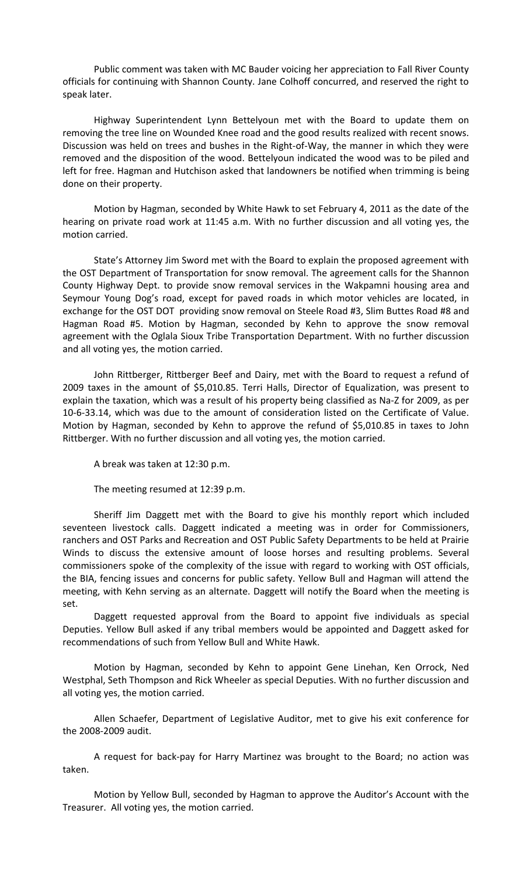Public comment was taken with MC Bauder voicing her appreciation to Fall River County officials for continuing with Shannon County. Jane Colhoff concurred, and reserved the right to speak later.

Highway Superintendent Lynn Bettelyoun met with the Board to update them on removing the tree line on Wounded Knee road and the good results realized with recent snows. Discussion was held on trees and bushes in the Right-of-Way, the manner in which they were removed and the disposition of the wood. Bettelyoun indicated the wood was to be piled and left for free. Hagman and Hutchison asked that landowners be notified when trimming is being done on their property.

Motion by Hagman, seconded by White Hawk to set February 4, 2011 as the date of the hearing on private road work at 11:45 a.m. With no further discussion and all voting yes, the motion carried.

State's Attorney Jim Sword met with the Board to explain the proposed agreement with the OST Department of Transportation for snow removal. The agreement calls for the Shannon County Highway Dept. to provide snow removal services in the Wakpamni housing area and Seymour Young Dog's road, except for paved roads in which motor vehicles are located, in exchange for the OST DOT providing snow removal on Steele Road #3, Slim Buttes Road #8 and Hagman Road #5. Motion by Hagman, seconded by Kehn to approve the snow removal agreement with the Oglala Sioux Tribe Transportation Department. With no further discussion and all voting yes, the motion carried.

John Rittberger, Rittberger Beef and Dairy, met with the Board to request a refund of 2009 taxes in the amount of \$5,010.85. Terri Halls, Director of Equalization, was present to explain the taxation, which was a result of his property being classified as Na-Z for 2009, as per 10-6-33.14, which was due to the amount of consideration listed on the Certificate of Value. Motion by Hagman, seconded by Kehn to approve the refund of \$5,010.85 in taxes to John Rittberger. With no further discussion and all voting yes, the motion carried.

A break was taken at 12:30 p.m.

The meeting resumed at 12:39 p.m.

Sheriff Jim Daggett met with the Board to give his monthly report which included seventeen livestock calls. Daggett indicated a meeting was in order for Commissioners, ranchers and OST Parks and Recreation and OST Public Safety Departments to be held at Prairie Winds to discuss the extensive amount of loose horses and resulting problems. Several commissioners spoke of the complexity of the issue with regard to working with OST officials, the BIA, fencing issues and concerns for public safety. Yellow Bull and Hagman will attend the meeting, with Kehn serving as an alternate. Daggett will notify the Board when the meeting is set.

Daggett requested approval from the Board to appoint five individuals as special Deputies. Yellow Bull asked if any tribal members would be appointed and Daggett asked for recommendations of such from Yellow Bull and White Hawk.

Motion by Hagman, seconded by Kehn to appoint Gene Linehan, Ken Orrock, Ned Westphal, Seth Thompson and Rick Wheeler as special Deputies. With no further discussion and all voting yes, the motion carried.

Allen Schaefer, Department of Legislative Auditor, met to give his exit conference for the 2008-2009 audit.

A request for back-pay for Harry Martinez was brought to the Board; no action was taken.

Motion by Yellow Bull, seconded by Hagman to approve the Auditor's Account with the Treasurer. All voting yes, the motion carried.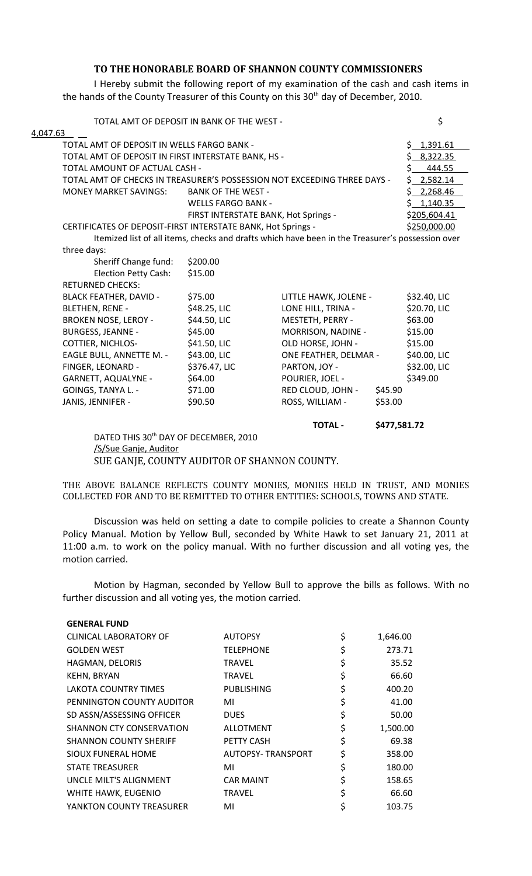# **TO THE HONORABLE BOARD OF SHANNON COUNTY COMMISSIONERS**

I Hereby submit the following report of my examination of the cash and cash items in the hands of the County Treasurer of this County on this 30<sup>th</sup> day of December, 2010.

|                                                              | DATED THIS 30 <sup>th</sup> DAY OF DECEMBER, 2010 |                                                                                                  |                |
|--------------------------------------------------------------|---------------------------------------------------|--------------------------------------------------------------------------------------------------|----------------|
|                                                              |                                                   | <b>TOTAL -</b>                                                                                   | \$477,581.72   |
| JANIS, JENNIFER -                                            | \$90.50                                           | ROSS, WILLIAM -                                                                                  | \$53.00        |
| GOINGS, TANYA L. -                                           | \$71.00                                           | RED CLOUD, JOHN -                                                                                | \$45.90        |
| <b>GARNETT, AQUALYNE -</b>                                   | \$64.00                                           | POURIER, JOEL -                                                                                  | \$349.00       |
| FINGER, LEONARD -                                            | \$376.47, LIC                                     | PARTON, JOY -                                                                                    | \$32.00, LIC   |
| EAGLE BULL, ANNETTE M. -                                     | \$43.00, LIC                                      | ONE FEATHER, DELMAR -                                                                            | \$40.00, LIC   |
| <b>COTTIER, NICHLOS-</b>                                     | \$41.50, LIC                                      | OLD HORSE, JOHN -                                                                                | \$15.00        |
| <b>BURGESS, JEANNE -</b>                                     | \$45.00                                           | MORRISON, NADINE -                                                                               | \$15.00        |
| <b>BROKEN NOSE, LEROY -</b>                                  | \$44.50, LIC                                      | MESTETH, PERRY -                                                                                 | \$63.00        |
| <b>BLETHEN, RENE -</b>                                       | \$48.25, LIC                                      | LONE HILL, TRINA -                                                                               | \$20.70, LIC   |
| <b>BLACK FEATHER, DAVID -</b>                                | \$75.00                                           | LITTLE HAWK, JOLENE -                                                                            | \$32.40, LIC   |
| <b>RETURNED CHECKS:</b>                                      |                                                   |                                                                                                  |                |
| <b>Election Petty Cash:</b>                                  | \$15.00                                           |                                                                                                  |                |
| Sheriff Change fund:                                         | \$200.00                                          |                                                                                                  |                |
| three days:                                                  |                                                   |                                                                                                  |                |
|                                                              |                                                   | Itemized list of all items, checks and drafts which have been in the Treasurer's possession over |                |
| CERTIFICATES OF DEPOSIT-FIRST INTERSTATE BANK, Hot Springs - |                                                   |                                                                                                  | \$250,000.00   |
|                                                              |                                                   | FIRST INTERSTATE BANK, Hot Springs -                                                             | \$205,604.41   |
|                                                              | <b>WELLS FARGO BANK -</b>                         |                                                                                                  | \$1,140.35     |
| <b>MONEY MARKET SAVINGS:</b>                                 | <b>BANK OF THE WEST -</b>                         |                                                                                                  | \$2,268.46     |
|                                                              |                                                   | TOTAL AMT OF CHECKS IN TREASURER'S POSSESSION NOT EXCEEDING THREE DAYS -                         | 2,582.14<br>S. |
| TOTAL AMOUNT OF ACTUAL CASH -                                |                                                   |                                                                                                  | Ś.<br>444.55   |
| TOTAL AMT OF DEPOSIT IN FIRST INTERSTATE BANK, HS -          |                                                   |                                                                                                  | \$8,322.35     |
| TOTAL AMT OF DEPOSIT IN WELLS FARGO BANK -                   |                                                   |                                                                                                  | \$1,391.61     |
| 4,047.63                                                     |                                                   |                                                                                                  |                |
|                                                              | TOTAL AMT OF DEPOSIT IN BANK OF THE WEST -        |                                                                                                  | \$             |

/S/Sue Ganje, Auditor SUE GANJE, COUNTY AUDITOR OF SHANNON COUNTY.

THE ABOVE BALANCE REFLECTS COUNTY MONIES, MONIES HELD IN TRUST, AND MONIES COLLECTED FOR AND TO BE REMITTED TO OTHER ENTITIES: SCHOOLS, TOWNS AND STATE.

Discussion was held on setting a date to compile policies to create a Shannon County Policy Manual. Motion by Yellow Bull, seconded by White Hawk to set January 21, 2011 at 11:00 a.m. to work on the policy manual. With no further discussion and all voting yes, the motion carried.

Motion by Hagman, seconded by Yellow Bull to approve the bills as follows. With no further discussion and all voting yes, the motion carried.

| <b>GENERAL FUND</b>           |                          |                |
|-------------------------------|--------------------------|----------------|
| <b>CLINICAL LABORATORY OF</b> | <b>AUTOPSY</b>           | \$<br>1,646.00 |
| <b>GOLDEN WEST</b>            | <b>TELEPHONE</b>         | \$<br>273.71   |
| HAGMAN, DELORIS               | <b>TRAVEL</b>            | \$<br>35.52    |
| <b>KEHN, BRYAN</b>            | <b>TRAVEL</b>            | \$<br>66.60    |
| LAKOTA COUNTRY TIMES          | <b>PUBLISHING</b>        | \$<br>400.20   |
| PENNINGTON COUNTY AUDITOR     | MI                       | \$<br>41.00    |
| SD ASSN/ASSESSING OFFICER     | <b>DUES</b>              | \$<br>50.00    |
| SHANNON CTY CONSERVATION      | <b>ALLOTMENT</b>         | \$<br>1,500.00 |
| <b>SHANNON COUNTY SHERIFF</b> | <b>PETTY CASH</b>        | \$<br>69.38    |
| SIOUX FUNERAL HOME            | <b>AUTOPSY-TRANSPORT</b> | \$<br>358.00   |
| <b>STATE TREASURER</b>        | MI                       | \$<br>180.00   |
| UNCLE MILT'S ALIGNMENT        | <b>CAR MAINT</b>         | \$<br>158.65   |
| WHITE HAWK, EUGENIO           | <b>TRAVEL</b>            | \$<br>66.60    |
| YANKTON COUNTY TREASURER      | MI                       | 103.75         |